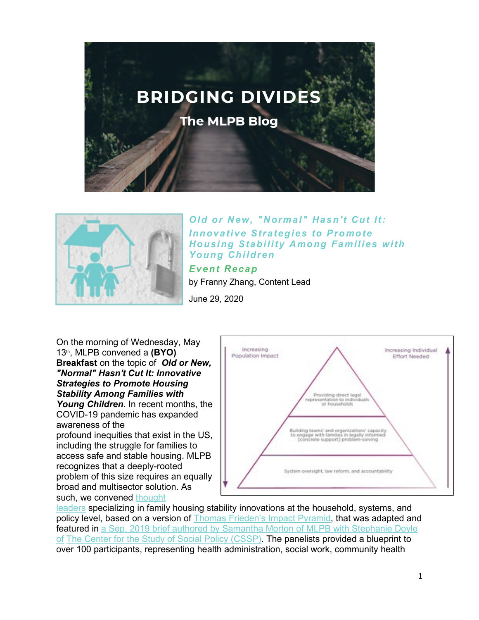



*Old or New, "Normal" Hasn't Cut It: Innovative Strategies to Promote Housing Stability Among Families with Young Children Event Recap*

by Franny Zhang, Content Lead

June 29, 2020

On the morning of Wednesday, May 13th, MLPB convened a **(BYO) Breakfast** on the topic of *Old or New, "Normal" Hasn't Cut It: Innovative Strategies to Promote Housing Stability Among Families with Young Children.* In recent months, the COVID-19 pandemic has expanded

awareness of the profound inequities that exist in the US, including the struggle for families to access safe and stable housing. MLPB recognizes that a deeply-rooted problem of this size requires an equally broad and multisector solution. As such, we convened [thought](https://www.mlpboston.org/hubfs/Breakfast%202020%20Program.pdf) 



[leaders](https://www.mlpboston.org/hubfs/Breakfast%202020%20Program.pdf) specializing in family housing stability innovations at the household, systems, and policy level, based on a version of [Thomas Frieden's Impact Pyramid,](https://pubmed.ncbi.nlm.nih.gov/20167880/) that was adapted and featured in a Sep. 2019 brief authored by Samantha Morton of MLPB with Stephanie Doyle [of](https://cssp.org/wp-content/uploads/2019/09/Legal-Partnering-for-Child-and-Family-Health.pdf) [The Center for the Study of Social Policy \(CSSP\).](http://cssp.org/) The panelists provided a blueprint to over 100 participants, representing health administration, social work, community health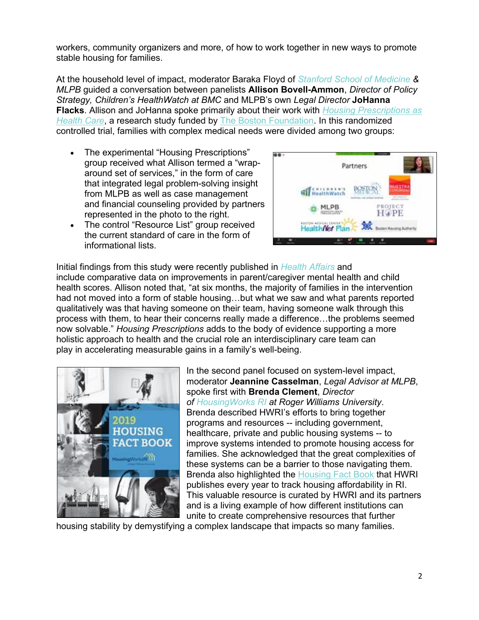workers, community organizers and more, of how to work together in new ways to promote stable housing for families.

At the household level of impact, moderator Baraka Floyd of *[Stanford School of Medicine](http://med.stanford.edu/) & MLPB* guided a conversation between panelists **Allison Bovell-Ammon**, *Director of Policy Strategy, Children's HealthWatch at BMC* and MLPB's own *Legal Director* **JoHanna Flacks**. Allison and JoHanna spoke primarily about their work with *[Housing Prescriptions as](https://childrenshealthwatch.org/housing-prescriptions/)  [Health Care](https://childrenshealthwatch.org/housing-prescriptions/)*, a research study funded by [The Boston Foundation.](http://tbf.org/) In this randomized controlled trial, families with complex medical needs were divided among two groups:

- The experimental "Housing Prescriptions" group received what Allison termed a "wraparound set of services," in the form of care that integrated legal problem-solving insight from MLPB as well as case management and financial counseling provided by partners represented in the photo to the right.
- The control "Resource List" group received the current standard of care in the form of informational lists.



Initial findings from this study were recently published in *[Health Affairs](https://www.healthaffairs.org/doi/10.1377/hlthaff.2019.01569)* and include comparative data on improvements in parent/caregiver mental health and child health scores. Allison noted that, "at six months, the majority of families in the intervention had not moved into a form of stable housing…but what we saw and what parents reported qualitatively was that having someone on their team, having someone walk through this process with them, to hear their concerns really made a difference…the problems seemed now solvable." *Housing Prescriptions* adds to the body of evidence supporting a more holistic approach to health and the crucial role an interdisciplinary care team can play in accelerating measurable gains in a family's well-being.



In the second panel focused on system-level impact, moderator **Jeannine Casselman**, *Legal Advisor at MLPB*, spoke first with **Brenda Clement**, *Director of [HousingWorks RI](https://www.housingworksri.org/) at Roger Williams University*. Brenda described HWRI's efforts to bring together programs and resources -- including government, healthcare, private and public housing systems -- to improve systems intended to promote housing access for families. She acknowledged that the great complexities of these systems can be a barrier to those navigating them. Brenda also highlighted the [Housing Fact Book](https://www.housingworksri.org/Portals/0/Uploads/Documents/2019%20Pages/HFB2019_compressed.pdf) that HWRI publishes every year to track housing affordability in RI. This valuable resource is curated by HWRI and its partners and is a living example of how different institutions can unite to create comprehensive resources that further

housing stability by demystifying a complex landscape that impacts so many families.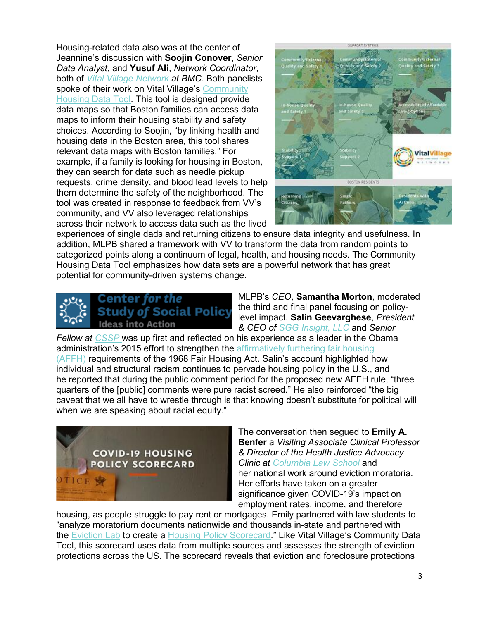Housing-related data also was at the center of Jeannine's discussion with **Soojin Conover**, *Senior Data Analyst*, and **Yusuf Ali**, *Network Coordinator*, both of *[Vital Village Network](https://www.vitalvillage.org/) at BMC.* Both panelists spoke of their work on Vital Village's Community **[Housing Data Tool.](https://www.vitalvillage-housingdata.org/) This tool is designed provide** data maps so that Boston families can access data maps to inform their housing stability and safety choices. According to Soojin, "by linking health and housing data in the Boston area, this tool shares relevant data maps with Boston families." For example, if a family is looking for housing in Boston, they can search for data such as needle pickup requests, crime density, and blood lead levels to help them determine the safety of the neighborhood. The tool was created in response to feedback from VV's community, and VV also leveraged relationships across their network to access data such as the lived



experiences of single dads and returning citizens to ensure data integrity and usefulness. In addition, MLPB shared a framework with VV to transform the data from random points to categorized points along a continuum of legal, health, and housing needs. The Community Housing Data Tool emphasizes how data sets are a powerful network that has great potential for community-driven systems change.



MLPB's *CEO*, **Samantha Morton**, moderated the third and final panel focusing on policylevel impact. **Salin Geevarghese**, *President & CEO of [SGG Insight, LLC](https://sgginsight.com/)* and *Senior* 

*Fellow at [CSSP](http://www.cssp.org/)* was up first and reflected on his experience as a leader in the Obama administration's 2015 effort to strengthen the affirmatively furthering fair housing [\(AFFH\)](https://www.hudexchange.info/programs/affh/) requirements of the 1968 Fair Housing Act. Salin's account highlighted how individual and structural racism continues to pervade housing policy in the U.S., and he reported that during the public comment period for the proposed new AFFH rule, "three quarters of the [public] comments were pure racist screed." He also reinforced "the big caveat that we all have to wrestle through is that knowing doesn't substitute for political will when we are speaking about racial equity."



The conversation then segued to **Emily A. Benfer** a *Visiting Associate Clinical Professor & Director of the Health Justice Advocacy Clinic at [Columbia Law School](https://www.law.columbia.edu/)* and her national work around eviction moratoria. Her efforts have taken on a greater significance given COVID-19's impact on employment rates, income, and therefore

housing, as people struggle to pay rent or mortgages. Emily partnered with law students to "analyze moratorium documents nationwide and thousands in-state and partnered with the [Eviction Lab](https://evictionlab.org/) to create a [Housing Policy Scorecard.](https://evictionlab.org/covid-policy-scorecard/)" Like Vital Village's Community Data Tool, this scorecard uses data from multiple sources and assesses the strength of eviction protections across the US. The scorecard reveals that eviction and foreclosure protections